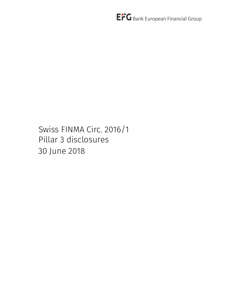Swiss FINMA Circ. 2016/1 Pillar 3 disclosures 30 June 2018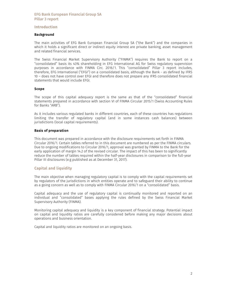# Introduction

# Background

The main activities of EFG Bank European Financial Group SA ("the Bank") and the companies in which it holds a significant direct or indirect equity interest are private banking, asset management and related financial services.

The Swiss Financial Market Supervisory Authority ("FINMA") requires the Bank to report on a "consolidated" basis its 43% shareholding in EFG International AG for Swiss regulatory supervision purposes in accordance with FINMA Circ. 2016/1. This "consolidated" Pillar 3 report includes, therefore, EFG International ("EFGI") on a consolidated basis, although the Bank - as defined by IFRS 10 – does not have control over EFGI and therefore does not prepare any IFRS consolidated financial statements that would include EFGI.

### Scope

The scope of this capital adequacy report is the same as that of the "consolidated" financial statements prepared in accordance with section VI of FINMA Circular 2015/1 (Swiss Accounting Rules for Banks "ARB").

As it includes various regulated banks in different countries, each of these countries has regulations limiting the transfer of regulatory capital (and in some instances cash balances) between jurisdictions (local capital requirements).

# Basis of preparation

This document was prepared in accordance with the disclosure requirements set forth in FINMA Circular 2016/1. Certain tables referred to in this document are numbered as per the FINMA circulars. Due to ongoing modifications to Circular 2016/1, approval was granted by FINMA to the Bank for the early application of margin 14.2 of the revised circular. The impact of this has been to significantly reduce the number of tables required within the half-year disclosures in comparison to the full-year Pillar III disclosures (e.g published as at December 31, 2017).

# Capital and liquidity

The main objective when managing regulatory capital is to comply with the capital requirements set by regulators of the jurisdictions in which entities operate and to safeguard their ability to continue as a going concern as well as to comply with FINMA Circular 2016/1 on a "consolidated" basis.

Capital adequacy and the use of regulatory capital is continually monitored and reported on an individual and "consolidated" bases applying the rules defined by the Swiss Financial Market Supervisory Authority (FINMA).

Monitoring capital adequacy and liquidity is a key component of financial strategy. Potential impact on capital and liquidity ratios are carefully considered before making any major decisions about operations and business orientation.

Capital and liquidity ratios are monitored on an ongoing basis.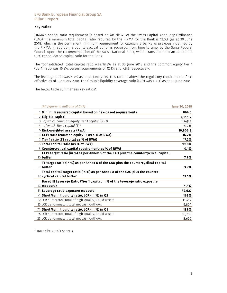## Key ratios

FINMA's capital ratio requirement is based on Article 41 of the Swiss Capital Adequacy Ordinance (CAO). The minimum total capital ratio required by the FINMA for the Bank is 12.0% (as at 30 June 2018) which is the permanent minimum requirement for category 3 banks as previously defined by the FINMA. In addition, a countercyclical buffer is required, from time to time, by the Swiss Federal Council upon the recommendation of the Swiss National Bank, which translates into an additional 0.1% consolidated capital ratio for the Bank.

The "consolidated" total capital ratio was 19.8% as at 30 June 2018 and the common equity tier 1 (CET1) ratio was 16.2%, versus requirements of 12.1% and 7.9% respectively.

The leverage ratio was 4.4% as at 30 June 2018. This ratio is above the regulatory requirement of 3% effective as of 1 January 2018. The Group's liquidity coverage ratio (LCR) was 174 % as at 30 June 2018.

The below table summarises key ratios\*:

| (All figures in millions of CHF)                                                               | June 30, 2018 |
|------------------------------------------------------------------------------------------------|---------------|
| 1 Minimum required capital based on risk-based requirements                                    | 864.5         |
| 2 Eligible capital                                                                             | 2,144.9       |
| 3 of which common equity Tier 1 capital (CET1)                                                 | 1.748.7       |
| 4 of which Tier 1 capital (T1)                                                                 | 115.0         |
| 5 Risk-weighted assets (RWA)                                                                   | 10,806.8      |
| 6 CET1 ratio (common equity T1 as a % of RWA)                                                  | 16.2%         |
| 7 Tier 1 ratio (T1 capital as % of RWA)                                                        | 17.2%         |
| 8 Total capital ratio (as % of RWA)                                                            | 19.8%         |
| 9 Countercyclical capital requirement (as % of RWA)                                            | 0.1%          |
| CET1-target ratio (in %) as per Annex 8 of the CAO plus the countercyclical capital            |               |
| 10 buffer                                                                                      | 7.9%          |
| T1-target ratio (in %) as per Annex 8 of the CAO plus the countercyclical capital<br>11 buffer | 9.7%          |
| Total capital target ratio (in %) as per Annex 8 of the CAO plus the counter-                  |               |
| 12 cyclical capital buffer                                                                     | 12.1%         |
| Basel III Leverage Ratio (Tier 1 capital in % of the leverage ratio exposure                   |               |
| 13 measure)                                                                                    | 4.4%          |
| 14 Leverage ratio exposure measure                                                             | 42,627        |
| 21 Short/term liquidity ratio, LCR (in %) in Q2                                                | 168%          |
| 22 LCR numerator: total of high-quality, liquid assets                                         | 11,412        |
| 23 LCR denominator: total net cash outflows                                                    | 6,804         |
| 24 Short/term liquidity ratio, LCR (in %) in Q1                                                | 189%          |
| 25 LCR numerator: total of high-quality, liquid assets                                         | 10,780        |
| 26 LCR denominator: total net cash outflows                                                    | 5.690         |

\*FINMA Circ. 2016/1 Annex 4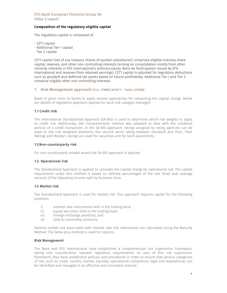# Composition of the regulatory eligible capital

The regulatory capital is composed of:

- CET1 capital
- Additional Tier I capital
- Tier 2 capital

CET1 capital (net of any treasury shares of quoted subsidiaries) comprises eligible ordinary share capital, reserves, and other non-controlling interests (arising on consolidation mostly from other minority interests in EFG International's ordinary equity, Bons de Participation issued by EFG International and reserves from retained earnings). CET1 capital is adjusted for regulatory deductions such as goodwill and deferred tax assets based on future profitability. Additional Tier I and Tier 2 comprise eligible other non-controlling interests.

## 1. Risk Management approach (Circ. FINMA 2016/1 – Table 3/OVA)

Basel III gives room to banks to apply several approaches for computing the capital charge. Below are details of regulatory approach applied for each risk category managed.

## 1.1 Credit risk

The International Standardised Approach (SA-BIS) is used to determine which risk weights to apply to credit risk. Additionaly, the Comprehensive method was adopted to deal with the collateral portion of a credit transaction. In the SA-BIS approach, ratings assigned by rating agencies can be used to the risk weighted positions: the second worst rating between Standard and Poor, Fitch Ratings and Moody's ratings are used for securities and for bank placements.

### 1.2 Non-counterparty risk

For non-counterparty related assets the SA-BIS approach is applied.

### 1.3. Operational risk

The Standardised Approach is applied to calculate the capital charge for operational risk. The capital requirement under this method is based on defined percentages of the last three year average amount of the Operating Income split by business lines.

# 1.4 Market risk

The Standardised Approach is used for market risk. This approach requires capital for the following positions:

- i) Interest rate instruments held in the trading book,
- ii) Equity securities held in the trading book,
- iii) Foreign exchange positions, and
- iv) Gold & commodity positions.

General market risk associated with interest rate risk instruments are calculated using the Maturity Method. The Delta-plus method is used for options.

### Risk Management

The Bank and EFG International have established a comprehensive risk supervision framework, taking into consideration relevant regulatory requirements. As part of this risk supervision framework, they have established policies and procedures in order to ensure that various categories of risk, such as credit, country, market, liquidity, operational, compliance, legal and reputational, can be identified and managed in an effective and consistent manner.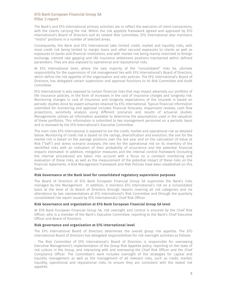The Bank's and EFG International primary activities are or reflect the execution of client transactions, with the clients carrying the risk. Within the risk appetite framework agreed and approved by EFG International's Board of Directors and its related Risk Committee, EFG International also maintains "nostro" positions in a number of selected areas.

Consequently, the Bank and EFG International take limited credit, market and liquidity risks, with most credit risk being limited to margin loans and other secured exposures to clients as well as exposures to banks and financial institutions, and with market risk being mainly restricted to foreign exchange, interest rate gapping and life insurance settlement positions maintained within defined parameters. They are also exposed to operational and reputational risks.

At EFG International level, where the vast majority of the "consolidated" risks lie, ultimate responsibility for the supervision of risk management lies with EFG International's Board of Directors, which define the risk appetite of the organisation and sets policies. The EFG International's Board of Directors, has delegated certain supervision and approval functions to its Risk Committee and Audit Committee.

EFG International is also exposed to certain financial risks that may impact adversely our portfolio of life insurance policies, in the form of increases in the cost of insurance charges and longevity risk. Monitoring changes in cost of insurance and longevity expectations of the insureds is based on periodic studies done by expert actuaries retained by EFG International. Typical financial information submitted for monitoring and approval includes financial forecasts, impairment reviews, cash flow projections, sensitivity analysis using different scenarios and results of actuarial studies. Managements utilises all information available to determine the assumptions used in the valuation of these portfolios. This information is submitted to key management personnel on a periodic basis and is reviewed by the EFG International's Executive Committee.

The main risks EFG International is exposed to are the credit, market and operational risk as detailed below. Monitoring of credit risk is based on the ratings, diversification and evolution; the one for the market risk is based on the average positions over the last year and on the calculation of Value at Risk ("VaR") and stress scenario analyses; the one for the operational risk on its inventory of the identified risks with an indication of their probability of occurrence and the potential financial impacts estimated. In addition, mitigation measures and the internal control framework (including the internal procedures) are taken into account with a focus on a constant monitoring and evaluation of these risks, as well as the measurement of the potential impact of these risks on the financial statements. A Risk Management Framework and Risk Policies have been established on this basis.

### Risk Governance at the Bank level for consolidated regulatory supervision purposes

The Board of Directors of EFG Bank European Financial Group SA supervises the Bank's risks managed by the Management. In addition, it monitors EFG International's risk on a consolidated basis at the level of its Board of Directors through reports covering all risk categories and via attendance by two representatives at EFG International's Risk Committee and through the quarterly consolidated risk report issued by EFG International's Chief Risk Officer.

### Risk Governance and organization at EFG Bank European Financial Group SA level

At EFB Bank European Financial Group SA, risk oversight and control is ensured by the Chief Risk Officer, who is a member of the Bank's Executive Committee, reporting to the Bank's Chief Executive Officer and Board of Directors.

## Risk governance and organisation at EFG International level

The EFG International Board of Directors determines the overall group risk appetite. The EFG International Board of Directors has delegated responsibilities for risk oversight activities as follows:

- The Risk Committee of EFG International's Board of Directors is responsible for overseeing Executive Management's implementation of the Group Risk Appetite policy, reporting on the state of risk culture in the Group, and interacting with and overseeing the Chief Risk Officer and the Chief Compliance Officer. The Committee's work includes oversight of the strategies for capital and liquidity management as well as the management of all relevant risks, such as credit, market, liquidity, operational and reputational risks, to ensure they are consistent with the stated risk appetite.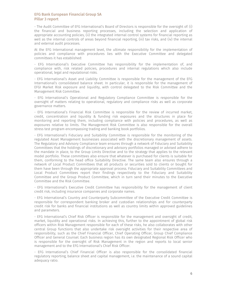- The Audit Committee of EFG International's Board of Directors is responsible for the oversight of: (i) the financial and business reporting processes, including the selection and application of appropriate accounting policies, (ii) the integrated internal control systems for financial reporting as well as the internal controls of areas beyond financial reporting, (iii) tax risks, and (iv) the internal and external audit processes.

At the EFG International management level, the ultimate responsibility for the implementation of policies and compliance with procedures lies with the Executive Committee and delegated committees it has established:

- EFG International's Executive Committee has responsibility for the implementation of, and compliance with, risk related policies, procedures and internal regulations which also include operational, legal and reputational risks.

- EFG International's Asset and Liability Committee is responsible for the management of the EFG International's consolidated balance sheet. In particular, it is responsible for the management of EFGI Market Risk exposure and liquidity, with control delegated to the Risk Committee and the Management Risk Committee.

- EFG International's Operational and Regulatory Compliance Committee is responsible for the oversight of matters relating to operational, regulatory and compliance risks as well as corporate governance matters.

- EFG International's Financial Risk Committee is responsible for the review of incurred market, credit, concentration and liquidity & funding risk exposures and the structures in place for monitoring and reporting them, including compliance with policies and procedures, as well as exposures relative to limits. The Management Risk Committee is also responsible for the overall stress test program encompassing trading and banking book portfolios.

- EFG International's Fiduciary and Suitability Committee is responsible for the monitoring of the regulated Asset Management businesses associated with the discretionary management of assets. The Regulatory and Advisory Compliance team ensures through a network of Fiduciary and Suitability Committees that the holdings of discretionary and advisory portfolios managed or advised adhere to the mandate in place, to the Group Limits Directive and to the strategy that applies to the relevant model portfolio. These committees also ensure that whatever is purchased for clients is suitable for them, conforming to the head office Suitability Directive. The same team also ensures through a network of Local Product Committees that all products or securities sold to clients or bought for them have been through the appropriate approval process. Fiduciary and Suitability Committees and Local Product Committees report their findings respectively to the Fiduciary and Suitability Committee and the Group Product Committee, which in turn send their minutes to the Executive Committee and the Risk Committee.

- EFG International's Executive Credit Committee has responsibility for the management of client credit risk, including insurance companies and corporate names.

- EFG International's Country and Counterparty Subcommittee of the Executive Credit Committee is responsible for correspondent banking broker and custodian relationships and for counterparty credit risk for banks and financial institutions as well as country limits within approved guidelines and parameters.

- EFG International's Chief Risk Officer is responsible for the management and oversight of credit, market, liquidity and operational risks. In achieving this, further to the appointment of global risk officers within Risk Management responsible for each of these risks, he also collaborates with other central Group functions that also undertake risk oversight activities for their respective area of responsibility, such as the Chief Financial Officer, Chief Operating Officer, Group Chief Compliance Officer and General Counsel. Each business region has its own designated Regional Risk Officer who is responsible for the oversight of Risk Management in the region and reports to local senior management and to the EFG International's Chief Risk Officer.

- EFG International's Chief Financial Officer is also responsible for the consolidated financial regulatory reporting, balance sheet and capital management, i.e. the maintenance of a sound capital adequacy ratio.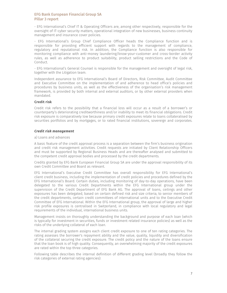- EFG International's Chief IT & Operating Officers are, among other respectively, responsible for the oversight of IT-cyber security matters, operational integration of new businesses, business continuity management and insurance cover policies.

- EFG International's Group Chief Compliance Officer heads the Compliance function and is responsible for providing efficient support with regards to the management of compliance, regulatory and reputational risk. In addition, the Compliance function is also responsible for monitoring compliance with anti-money laundering/know-your-customer and cross-border activity rules, as well as adherence to product suitability, product selling restrictions and the Code of Conduct.

- EFG International's General Counsel is responsible for the management and oversight of legal risk, together with the Litigation team.

Independent assurance to EFG International's Board of Directors, Risk Committee, Audit Committee and Executive Committee on the implementation of and adherence to head office's policies and procedures by business units, as well as the effectiveness of the organisation's risk management framework, is provided by both internal and external auditors, or by other external providers when mandated.

## Credit risk

Credit risk refers to the possibility that a financial loss will occur as a result of a borrower's or counterparty's deteriorating creditworthiness and/or inability to meet its financial obligations. Credit risk exposure is comparatively low because primary credit exposures relate to loans collateralised by securities portfolios and by mortgages, or to rated financial institutions, sovereign and corporates.

### *Credit risk management*

#### a) Loans and advances

A basic feature of the credit approval process is a separation between the firm's business origination and credit risk management activities. Credit requests are initiated by Client Relationship Officers and must be supported by Regional Business Heads and are thereafter analysed and submitted to the competent credit approval bodies and processed by the credit departments.

Credits granted by EFG Bank European Financial Group SA are under the approval responsibility of its own Credit Committee and Board as relevant.

EFG International's Executive Credit Committee has overall responsibility for EFG International's client credit business, including the implementation of credit policies and procedures defined by the EFG International's Board. Certain duties, including monitoring of day-to-day operations, have been delegated to the various Credit Departments within the EFG International group under the supervision of the Credit Department of EFG Bank AG. The approval of loans, ceilings and other exposures has been delegated, based on certain defined risk and size criteria, to senior members of the credit departments, certain credit committees of international units and to the Executive Credit Committee of EFG International. Within the EFG International group, the approval of large and higher risk profile exposures is centralised in Switzerland, in compliance with local regulatory and legal requirements of the individual, international business units.

Management insists on thoroughly understanding the background and purpose of each loan (which is typically for investment in securities, funds or investment related insurance policies) as well as the risks of the underlying collateral of each loan.

The internal grading system assigns each client credit exposure to one of ten rating categories. The rating assesses the borrower's repayment ability and the value, quality, liquidity and diversification of the collateral securing the credit exposure. The credit policy and the nature of the loans ensure that the loan book is of high quality. Consequently, an overwhelming majority of the credit exposures are rated within the top three categories.

Following table describes the internal definition of different grading level (broadly they follow the risk categories of external rating agencies):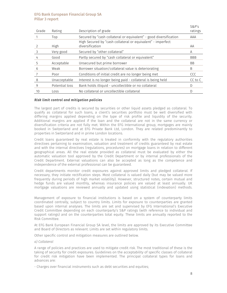| Grade | Rating         | Description of grade                                                           | S&P's<br>ratings |
|-------|----------------|--------------------------------------------------------------------------------|------------------|
|       | Top            | Secured by "cash collateral or equivalent" - good diversification              | AAA              |
|       | High           | High Secured by "cash collateral or equivalent" - imperfect<br>diversification | AA               |
| 3     | Very good      | Secured by "other collateral"                                                  | A                |
| 4     | Good           | Partly secured by "cash collateral or equivalent"                              | <b>BBB</b>       |
| 5     | Acceptable     | Unsecured but prime borrower                                                   | <b>BB</b>        |
| 6     | Weak           | Borrower situation/collateral value is deteriorating                           | B                |
|       | Poor           | Conditions of initial credit are no longer being met                           | <b>CCC</b>       |
| 8     | Unacceptable   | Interest is no longer being paid - collateral is being held                    | CC to C          |
| 9     | Potential loss | Bank holds illiquid - uncollectible or no collateral                           | D                |
| 10    | Loss           | No collateral or uncollectible collateral                                      | D                |

### *Risk limit control and mitigation policies*

The largest part of credits is secured by securities or other liquid assets pledged as collateral. To qualify as collateral for such loans, a client's securities portfolio must be well diversified with differing margins applied depending on the type of risk profile and liquidity of the security. Additional margins are applied if the loan and the collateral are not in the same currency or diversification criteria are not fully met. Within the EFG International group, mortgages are mainly booked in Switzerland and at EFG Private Bank Ltd, London. They are related predominantly to properties in Switzerland and in prime London locations.

Credit loans guaranteed by real estate is treated in conformity with the regulatory authorities directives pertaining to examination, valuation and treatment of credits guaranteed by real estate and with the internal directives (regulations, procedures) on mortgage loans in relation to different geographical areas. All the real estate provided as collateral must be evaluated by either the automatic valuation tool approved by the Credit Department or by internal professionals of the Credit Department. External valuations can also be accepted as long as the competence and independence of the external professional can be guaranteed.

Credit departments monitor credit exposures against approved limits and pledged collateral. If necessary, they initiate rectification steps. Most collateral is valued daily (but may be valued more frequently during periods of high market volatility). However, structured notes, certain mutual and hedge funds are valued monthly, whereas insurance policies are valued at least annually. UK mortgage valuations are reviewed annually and updated using statistical (indexation) methods.

Management of exposure to financial institutions is based on a system of counterparty limits coordinated centrally, subject to country limits. Limits for exposure to counterparties are granted based upon internal analyses. The limits are set and supervised by EFG International's Executive Credit Committee depending on each counterparty's S&P ratings (with reference to individual and support ratings) and on the counterparties total equity. These limits are annually reported to the Risk Committee.

At EFG Bank European Financial Group SA level, the limits are approved by its Executive Committee and Board of Directors as relevant. Limits are set within regulatory limits.

Other specific control and mitigation measures are outlined below.

#### *a) Collateral*

A range of policies and practices are used to mitigate credit risk. The most traditional of these is the taking of security for credit exposures. Guidelines on the acceptability of specific classes of collateral for credit risk mitigation have been implemented. The principal collateral types for loans and advances are:

- Charges over financial instruments such as debt securities and equities;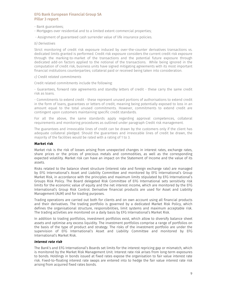- Bank guarantees;
- Mortgages over residential and to a limited extent commercial properties;

- Assignment of guaranteed cash surrender value of life insurance policies.

#### *b) Derivatives*

Strict monitoring of credit risk exposure induced by over-the-counter derivatives transactions vs. dedicated limits granted is performed. Credit risk exposure considers the current credit risk exposure through the marking-to-market of the transactions and the potential future exposure through dedicated add-on factors applied to the notional of the transactions. While being ignored in the computation of credit risk, business units have signed mitigating agreements with its most important financial institutions counterparties; collateral paid or received being taken into consideration.

#### *c) Credit related commitments*

Credit related commitments include the following:

- Guarantees, forward rate agreements and standby letters of credit - these carry the same credit risk as loans.

- Commitments to extend credit - these represent unused portions of authorisations to extend credit in the form of loans, guarantees or letters of credit, meaning being potentially exposed to loss in an amount equal to the total unused commitments. However, commitments to extend credit are contingent upon customers maintaining specific credit standards.

For all the above, the same standards apply regarding approval competences, collateral requirements and monitoring procedures as outlined under paragraph Credit risk management.

The guarantees and irrevocable lines of credit can be drawn by the customers only if the client has adequate collateral pledged. Should the guarantees and irrevocable lines of credit be drawn, the majority of the facilities would be rated with a rating of 1 to 3.

### Market risk

Market risk is the risk of losses arising from unexpected changes in interest rates, exchange rates, share prices or the prices of precious metals and commodities, as well as the corresponding expected volatility. Market risk can have an impact on the Statement of Income and the value of its assets.

Risks related to the balance sheet structure (interest rate and foreign exchange rate) are managed by EFG International's Asset and Liability Committee and monitored by EFG International's Group Market Risk, in accordance with the principles and maximum limits stipulated by EFG International's Groups Risk Policy. The Board delegated Risk Committee of EFG International sets sensitivity risk limits for the economic value of equity and the net interest income, which are monitored by the EFG International's Group Risk Control. Derivative financial products are used for Asset and Liability Management (ALM) and for trading purposes.

Trading operations are carried out both for clients and on own account using all financial products and their derivatives. The trading portfolio is governed by a dedicated Market Risk Policy, which defines the organisational structure, responsibilities, limit systems and maximum acceptable risk. The trading activities are monitored on a daily basis by EFG International's Market Risk.

In addition to trading portfolios, investment portfolios exist, which allow to diversify balance sheet assets and optimise any excess liquidity. The investment portfolios comprise a range of portfolios on the basis of the type of product and strategy. The risks of the investment portfolio are under the supervision of EFG International's Asset and Liability Committee and monitored by EFG International's Market Risk.

#### *Interest rate risk*

The Bank's and EFG International's Boards set limits for the interest repricing gap or mismatch, which is monitored by the Market Risk Management Unit. Interest rate risk arises from long-term exposures to bonds. Holdings in bonds issued at fixed rates expose the organisation to fair value interest rate risk. Fixed-to-floating interest rate swaps are entered into to hedge the fair value interest rate risk arising from acquired fixed rates bonds.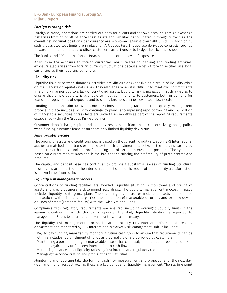## *Foreign exchange risk*

Foreign currency operations are carried out both for clients and for own account. Foreign exchange risk arises from on or off-balance sheet assets and liabilities denominated in foreign currencies. The overall net nominal positions per currency are monitored against overnight limits. In addition 10 sliding days stop loss limits are in place for VaR stress test. Entities use derivative contracts, such as forward or option contracts, to offset customer transactions or to hedge their balance sheet.

The Bank's and EFG International's Boards set limits on the level of exposure.

Apart from the exposure to foreign currencies which relates to banking and trading activities, exposure also arises from foreign currency fluctuations because most of foreign entities use local currencies as their reporting currencies.

## Liquidity risk

Liquidity risks arise when financing activities are difficult or expensive as a result of liquidity crisis on the markets or reputational issues. They also arise when it is difficult to meet own commitments in a timely manner due to a lack of very liquid assets. Liquidity risk is managed in such a way as to ensure that ample liquidity is available to meet commitments to customers, both in demand for loans and repayments of deposits, and to satisfy business entities' own cash flow needs.

Funding operations aim to avoid concentrations in funding facilities. The liquidity management process in place includes liquidity contingency plans, encompassing repo borrowing and liquidation of marketable securities. Stress tests are undertaken monthly as part of the reporting requirements established within the Groups Risk Guidelines.

Customer deposit base, capital and liquidity reserves position and a conservative gapping policy when funding customer loans ensure that only limited liquidity risk is run.

### *Fund transfer pricing*

The pricing of assets and credit business is based on the current liquidity situation. EFG International applies a matched fund transfer pricing system that distinguishes between the margins earned by the customer business and the profits arising out of certain interest rate positions. The system is based on current market rates and is the basis for calculating the profitability of profit centres and products.

The capital and deposit base has continued to provide a substantial excess of funding. Structural mismatches are reflected in the interest rate position and the result of the maturity transformation is shown in net interest income.

### *Liquidity risk management process*

Concentrations of funding facilities are avoided. Liquidity situation is monitored and pricing of assets and credit business is determined accordingly. The liquidity management process in place includes liquidity contingency plans. These contingency measures include the activation of repo transactions with prime counterparties, the liquidation of marketable securities and/or draw downs on lines of credit (Lombard facility) with the Swiss National Bank.

Compliance with regulatory requirements are ensured, including overnight liquidity limits in the various countries in which the banks operate. The daily liquidity situation is reported to management. Stress tests are undertaken monthly, or as necessary.

The liquidity risk management process is carried out by EFG International's central Treasury department and monitored by EFG International's Market Risk Management Unit. It includes:

- Day-to-day funding, managed by monitoring future cash flows to ensure that requirements can be met. This includes replenishment of funds as they mature or are borrowed by customers

- Maintaining a portfolio of highly marketable assets that can easily be liquidated (repaid or sold) as protection against any unforeseen interruption to cash flow

- Monitoring balance sheet liquidity ratios against internal and regulatory requirements

- Managing the concentration and profile of debt maturities.

Monitoring and reporting take the form of cash flow measurement and projections for the next day, week and month respectively, as these are key periods for liquidity management. The starting point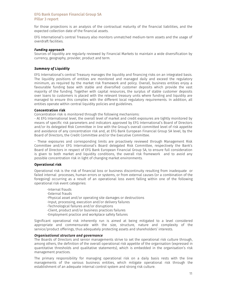for those projections is an analysis of the contractual maturity of the financial liabilities, and the expected collection date of the financial assets.

EFG International's central Treasury also monitors unmatched medium-term assets and the usage of overdraft facilities.

### *Funding approach*

Sources of liquidity are regularly reviewed by Financial Markets to maintain a wide diversification by currency, geography, provider, product and term.

## *Summary of Liquidity*

EFG International's central Treasury manages the liquidity and financing risks on an integrated basis. The liquidity positions of entities are monitored and managed daily and exceed the regulatory minimum, as required by the market risk framework and policy. Overall, business entities enjoy a favourable funding base with stable and diversified customer deposits which provide the vast majority of the funding. Together with capital resources, the surplus of stable customer deposits over loans to customers is placed with the relevant treasury units where funding and liquidity are managed to ensure this complies with the different local regulatory requirements. In addition, all entities operate within central liquidity policies and guidelines.

#### Concentration risk

Concentration risk is monitored through the following mechanisms:

- At EFG International level, the overall level of market and credit exposures are tightly monitored by means of specific risk parameters and indicators approved by EFG International's Board of Directors and/or its delegated Risk Committee in line with the Group's overall committed level of risk appetite and avoidance of any concentration risk and, at EFG Bank European Financial Group SA level, by the Board of Directors, the Credit Committee and/or the Executive Committee.

- These exposures and corresponding limits are proactively reviewed through Management Risk Committee and/or EFG International's Board delegated Risk Committee, respectively the Bank's Board of Directors in respect of EFG Bank European Financial Group SA, to ensure full consideration is given to both market and liquidity conditions, the overall risk framework and to avoid any possible concentration risk in light of changing market environments.

## Operational risk

Operational risk is the risk of financial loss or business discontinuity resulting from inadequate or failed internal processes, human errors or systems, or from external causes (or a combination of the foregoing) occurring as a result of an operational loss event falling within one of the following operational risk event categories:

-Internal frauds -External frauds -Physical asset and/or operating site damages or destructions -Input, processing, execution and/or delivery failures -Technological failures and/or disruptions -Client, product and/or business practices failures -Employment practice and workplace safety failures

Significant operational risk inherently run is aimed at being mitigated to a level considered appropriate and commensurate with the size, structure, nature and complexity of the service/product offerings, thus adequately protecting assets and shareholders' interests.

### *Organisational structure and governance*

The Boards of Directors and senior managements strive to set the operational risk culture through, among others, the definition of the overall operational risk appetite of the organisation (expressed in quantitative thresholds and qualitative statements), which is embedded in the organisation's risk management practices.

The primary responsibility for managing operational risk on a daily basis rests with the line managements of the various business entities, which mitigate operational risk through the establishment of an adequate internal control system and strong risk culture.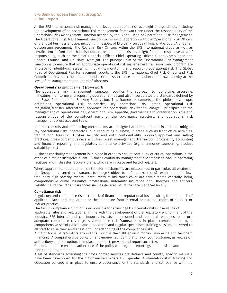At the EFG International risk management level, operational risk oversight and guidance, including the development of an operational risk management framework, are under the responsibility of the Operational Risk Management Function headed by the Global Head of Operational Risk Management. The Operational Risk Management Function works in collaboration with the Operational Risk Officers of the local business entities, including in respect of EFG Bank European Financial Group SA under an outsourcing agreement, the Regional Risk Officers within the EFG International group as well as certain central functions that also undertake operational risk oversight for their respective area of responsibility, such as the Chief Financial Officer, Chief Operating Officer, Global Compliance and General Counsel and Fiduciary Oversight. The principal aim of the Operational Risk Management Function is to ensure that an appropriate operational risk management framework and program are in place for identifying, assessing, mitigating, monitoring and reporting operational risk. The Global Head of Operational Risk Management reports to the EFG International Chief Risk Officer and Risk Committee. EFG Bank European Financial Group SA exercises supervision on its own activity at the level of its Management and Board of Directors.

#### *Operational risk management framework*

The operational risk management framework codifies the approach to identifying, assessing, mitigating, monitoring and reporting operational risk and also incorporates the standards defined by the Basel Committee for Banking Supervision. This framework comprises the philosophy, scope, definitions, operational risk boundaries, key operational risk areas, operational risk mitigation/transfer alternatives, approach for operational risk capital charge, principles for the management of operational risk, operational risk appetite, governance and organisation, role and responsibilities of the constituent parts of the governance structure, and operational risk management processes and tools.

Internal controls and monitoring mechanisms are designed and implemented in order to mitigate key operational risks inherently run in conducting business, in areas such as front-office activities, trading and treasury, IT-cyber security and data confidentiality, product approval and selling practices, cross-border business activities, asset management, transaction processing, accounting and financial reporting, and regulatory compliance activities (e.g. anti-money laundering, product suitability, etc.).

Business continuity management is in place in order to ensure continuity of critical operations in the event of a major disruptive event. Business continuity management encompasses backup operating facilities and IT disaster recovery plans, which are in place and tested regularly.

Where appropriate, operational risk transfer mechanisms are established; in particular, all entities of the Group are covered by insurance to hedge (subject to defined exclusions) certain potential lowfrequency high-severity events. Three layers of insurance cover are administered centrally, being comprehensive crime insurance, professional indemnity insurance and Directors' and Officers' liability insurance. Other insurances such as general insurances are managed locally.

## Compliance risk

Regulatory and compliance risk is the risk of financial or reputational loss resulting from a breach of applicable laws and regulations or the departure from internal or external codes of conduct or market practice.

The Group Compliance function is responsible for ensuring EFG International's observance of

applicable rules and regulations. In line with the development of the regulatory environment of the industry, EFG International continuously invests in personnel and technical resources to ensure adequate compliance coverage. A Compliance risk framework is in place, complemented by a comprehensive set of policies and procedures and regular specialised training sessions delivered to all staff to raise their awareness and understanding of the compliance risks.

A major focus of regulators around the world is the fight against money laundering and terrorism financing. A comprehensive policy on anti-money laundering and know your customer, as well as on anti-bribery and corruption, is in place, to detect, prevent and report such risks.

Group Compliance ensures adherence of the policy with regular reportings, on-site visits and monitoring programmes.

A set of standards governing the cross-border services are defined, and country-specific manuals have been developped for the major markets where EFG operates. A mandatory staff training and education concept is in place to ensure observance of the standards and compliance with the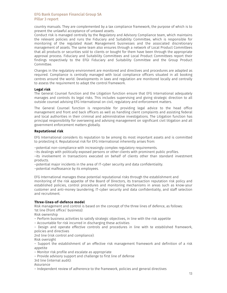country manuals. They are complemented by a tax compliance framework, the purpose of which is to prevent the unlawful acceptance of untaxed assets.

Conduct risk is managed centrally by the Regulatory and Advisory Compliance team, which maintains the relevant policies and runs the Fiduciary and Suitability Committee, which is responsible for monitoring of the regulated Asset Management businesses and the associated discretionary management of assets. The same team also ensures through a network of Local Product Committees that all products or securities sold to clients or bought for them have been through the appropriate approval process. Fiduciary and Suitability Committees and Local Product Committees report their findings respectively to the EFGI Fiduciary and Suitability Committee and the Group Product Committee.

Changes in the regulatory environment are monitored and directives and procedures are adapted as required. Compliance is centrally managed with local compliance officers situated in all booking centres around the world. Developments in laws and regulation are monitored locally and centrally to assess the requirement to adapt the control framework.

## Legal risk

The General Counsel function and the Litigation function ensure that EFG International adequately manages and controls its legal risks. This includes supervising and giving strategic direction to all outside counsel advising EFG International on civil, regulatory and enforcement matters.

The General Counsel function is responsible for providing legal advice to the head office management and front and back officers as well as handling client complaints and assisting federal and local authorities in their criminal and administrative investigations. The Litigation function has principal responsibility for overseeing and advising management on significant civil litigation and all government enforcement matters globally.

## Reputational risk

EFG International considers its reputation to be among its most important assets and is committed to protecting it. Reputational risk for EFG International inherently arises from:

–potential non-compliance with increasingly complex regulatory requirements.

–its dealings with politically exposed persons or other clients with prominent public profiles.

–its involvement in transactions executed on behalf of clients other than standard investment products.

–potential major incidents in the area of IT-cyber security and data confidentiality.

–potential malfeasance by its employees.

EFG International manages these potential reputational risks through the establishment and monitoring of the risk appetite of the Board of Directors, its transaction reputation risk policy and established policies, control procedures and monitoring mechanisms in areas such as know-your customer and anti-money laundering, IT-cyber security and data confidentiality, and staff selection and recruitment.

### Three-lines-of-defence model

Risk management and control is based on the concept of the three lines of defence, as follows: 1st line (front office/ business):

Risk ownership

– Perform business activities to satisfy strategic objectives, in line with the risk appetite

– Accountable for risk incurred in discharging these activities

– Design and operate effective controls and procedures in line with te established framework, policies and directives

2nd line (risk control and compliance):

Risk oversight

– Support the establishment of an effective risk management framework and definition of a risk appetite

– Monitor risk profile and escalate as appropriate

– Provide advisory support and challenge to first line of defense

3rd line (internal audit):

Assurance

– Independent review of adherence to the framework, policies and general directives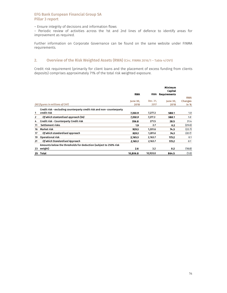– Ensure integrity of decisions and information flows

– Periodic review of activities across the 1st and 2nd lines of defence to identify areas for improvement as required.

Further information on Corporate Governance can be found on the same website under FINMA requirements.

# 2. Overview of the Risk Weighted Assets (RWA) (Circ. FINMA 2016/1 - Table 4/OV1)

Credit risk requirement (primarily for client loans and the placement of excess funding from clients deposits) comprises approximately 71% of the total risk weighted exposure.

|                |                                                                       | <b>RWA</b>              | <b>RWA</b>       | Minimum<br>Capital<br><b>Requirements</b> |                        |
|----------------|-----------------------------------------------------------------------|-------------------------|------------------|-------------------------------------------|------------------------|
|                |                                                                       |                         |                  |                                           | <b>RWA</b>             |
|                | (All figures in millions of CHF)                                      | <b>June 30.</b><br>2018 | Dec. 31,<br>2017 | <b>June 30.</b><br>2018                   | <b>Changes</b><br>in % |
|                |                                                                       |                         |                  |                                           |                        |
|                | Credit risk - excluding counterparty credit risk and non-counterparty |                         |                  |                                           |                        |
| 1              | credit risk                                                           | 7,350.9                 | 7,277.3          | 588.1                                     | 1.0                    |
| $\overline{2}$ | Of which stantardised approach (SA)                                   | 7,350.9                 | 7,277.3          | 588.1                                     | 1.0                    |
| 4              | Credit risk - Counterparty Credit risk                                | 356.8                   | 271.5            | 28.5                                      | 31.4                   |
| 11             | Settlement risks                                                      | 1.9                     | 2.7              | 0.2                                       | (29.0)                 |
| 16             | Market risk                                                           | 929.3                   | 1,201.6          | 74.3                                      | (22.7)                 |
| 17             | Of which standardised approach                                        | 929.3                   | 1,201.6          | 74.3                                      | (22.7)                 |
| 19             | Operational risk                                                      | 2.165.3                 | 2,163.7          | 173.2                                     | 0.1                    |
| 21             | Of which Standardised Approach                                        | 2,165.3                 | 2,163.7          | 173.2                                     | 0.1                    |
|                | Amounts below the thresholds for deduction (subject to 250% risk      |                         |                  |                                           |                        |
| 23             | weight)                                                               | 2.6                     | 3.2              | 0.2                                       | (18.8)                 |
| 25             | Total                                                                 | 10,806.8                | 10,920.0         | 864.5                                     | (1.0)                  |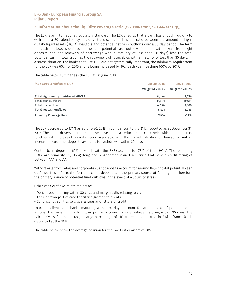# 3. Information about the liquidity coverage ratio (Circ. FINMA 2016/1 - Table 48/ LIQ1))

The LCR is an international regulatory standard. The LCR ensures that a bank has enough liquidity to withstand a 30-calendar-day liquidity stress scenario. It is the ratio between the amount of highquality liquid assets (HQLA) available and potential net cash outflows over a 30-day period. The term net cash outflows is defined as the total potential cash outflows (such as withdrawals from sight deposits and non-renewals of borrowings with a maturity of less than 30 days) less the total potential cash inflows (such as the repayment of receivables with a maturity of less than 30 days) in a stress situation. For banks that, like EFG, are not systemically important, the minimum requirement for the LCR was 60% for 2015 and is being increased by 10% each year, reaching 100% by 2019.

The table below summarises the LCR at 30 June 2018.

| (All figures in millions of CHF)        | <b>June 30, 2018</b>   | Dec. 31, 2017   |
|-----------------------------------------|------------------------|-----------------|
|                                         | <b>Weighted values</b> | Weighted values |
| Total high-quality liquid assets (HQLA) | 12.136                 | 12,854          |
| <b>Total cash outflows</b>              | 11.601                 | 10,671          |
| <b>Total cash inflows</b>               | 4,630                  | 4,588           |
| Total net cash outflows                 | 6,971                  | 6,083           |
| <b>Liquidity Coverage Ratio</b>         | 174%                   | 211%            |

The LCR decreased to 174% as at June 30, 2018 in comparison to the 211% reported as at December 31, 2017. The main drivers to this decrease have been a reduction in cash held with central banks, together with increased liquidity needs associated with the market valuation of derivatives and an increase in customer deposits available for withdrawal within 30 days.

Central bank deposits (62% of which with the SNB) account for 78% of total HQLA. The remaining HQLA are primarily US, Hong Kong and Singaporean-issued securities that have a credit rating of between AAA and AA.

Withdrawals from retail and corporate client deposits account for around 84% of total potential cash outflows. This reflects the fact that client deposits are the primary source of funding and therefore the primary source of potential fund outflows in the event of a liquidity stress.

Other cash outflows relate mainly to:

- Derivatives maturing within 30 days and margin calls relating to credits;
- The undrawn part of credit facilities granted to clients;
- Contingent liabilities (e.g. guarantees and letters of credit).

Loans to clients and banks maturing within 30 days account for around 97% of potential cash inflows. The remaining cash inflows primarily come from derivatives maturing within 30 days. The LCR in Swiss francs is 312%, a large percentage of HQLA are denominated in Swiss francs (cash deposited at the SNB).

The table below show the average position for the two first quarters of 2018.